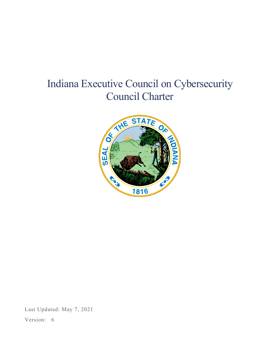# Indiana Executive Council on Cybersecurity Council Charter



Last Updated: May 7, 2021

Version: 6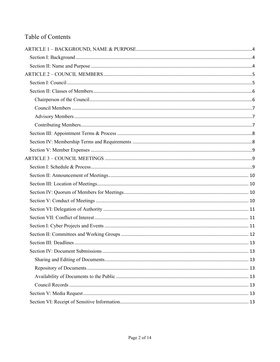# Table of Contents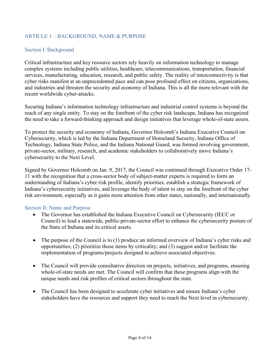# <span id="page-3-0"></span>ARTICLE 1 – BACKGROUND, NAME & PURPOSE

#### <span id="page-3-1"></span>Section I: Background

Critical infrastructure and key resource sectors rely heavily on information technology to manage complex systems including public utilities, healthcare, telecommunications, transportation, financial services, manufacturing, education, research, and public safety. The reality of interconnectivity is that cyber risks manifest at an unprecedented pace and can pose profound effect on citizens, organizations, and industries and threaten the security and economy of Indiana. This is all the more relevant with the recent worldwide cyber-attacks.

Securing Indiana's information technology infrastructure and industrial control systems is beyond the reach of any single entity. To stay on the forefront of the cyber risk landscape, Indiana has recognized the need to take a forward-thinking approach and design initiatives that leverage whole-of-state assets.

To protect the security and economy of Indiana, Governor Holcomb's Indiana Executive Council on Cybersecurity, which is led by the Indiana Department of Homeland Security, Indiana Office of Technology, Indiana State Police, and the Indiana National Guard, was formed involving government, private-sector, military, research, and academic stakeholders to collaboratively move Indiana's cybersecurity to the Next Level.

Signed by Governor Holcomb on Jan. 9, 2017, the Council was continued through Executive Order 17- 11 with the recognition that a cross-sector body of subject-matter experts is required to form an understanding of Indiana's cyber risk profile, identify priorities, establish a strategic framework of Indiana's cybersecurity initiatives, and leverage the body of talent to stay on the forefront of the cyber risk environment, especially as it gains more attention from other states, nationally, and internationally.

#### <span id="page-3-2"></span>Section II: Name and Purpose

- The Governor has established the Indiana Executive Council on Cybersecurity (IECC or Council) to lead a statewide, public-private-sector effort to enhance the cybersecurity posture of the State of Indiana and its critical assets.
- The purpose of the Council is to (1) produce an informed overview of Indiana's cyber risks and opportunities; (2) prioritize those items by criticality; and (3) suggest and/or facilitate the implementation of programs/projects designed to achieve associated objectives.
- The Council will provide consultative direction on projects, initiatives, and programs, ensuring whole-of-state needs are met. The Council will confirm that these programs align with the unique needs and risk profiles of critical sectors throughout the state.
- The Council has been designed to accelerate cyber initiatives and ensure Indiana's cyber stakeholders have the resources and support they need to reach the Next level in cybersecurity.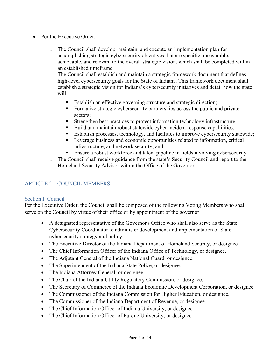- Per the Executive Order:
	- o The Council shall develop, maintain, and execute an implementation plan for accomplishing strategic cybersecurity objectives that are specific, measurable, achievable, and relevant to the overall strategic vision, which shall be completed within an established timeframe.
	- o The Council shall establish and maintain a strategic framework document that defines high-level cybersecurity goals for the State of Indiana. This framework document shall establish a strategic vision for Indiana's cybersecurity initiatives and detail how the state will:
		- Establish an effective governing structure and strategic direction;
		- Formalize strategic cybersecurity partnerships across the public and private sectors;
		- Strengthen best practices to protect information technology infrastructure;
		- Build and maintain robust statewide cyber incident response capabilities;
		- Establish processes, technology, and facilities to improve cybersecurity statewide;
		- **EXECUTE:** Leverage business and economic opportunities related to information, critical infrastructure, and network security; and
		- **Ensure a robust workforce and talent pipeline in fields involving cybersecurity.**
	- o The Council shall receive guidance from the state's Security Council and report to the Homeland Security Advisor within the Office of the Governor.

# <span id="page-4-0"></span>ARTICLE 2 – COUNCIL MEMBERS

#### <span id="page-4-1"></span>Section I: Council

Per the Executive Order, the Council shall be composed of the following Voting Members who shall serve on the Council by virtue of their office or by appointment of the governor:

- A designated representative of the Governor's Office who shall also serve as the State Cybersecurity Coordinator to administer development and implementation of State cybersecurity strategy and policy.
- The Executive Director of the Indiana Department of Homeland Security, or designee.
- The Chief Information Officer of the Indiana Office of Technology, or designee.
- The Adjutant General of the Indiana National Guard, or designee.
- The Superintendent of the Indiana State Police, or designee.
- The Indiana Attorney General, or designee.
- The Chair of the Indiana Utility Regulatory Commission, or designee.
- The Secretary of Commerce of the Indiana Economic Development Corporation, or designee.
- The Commissioner of the Indiana Commission for Higher Education, or designee.
- The Commissioner of the Indiana Department of Revenue, or designee.
- The Chief Information Officer of Indiana University, or designee.
- The Chief Information Officer of Purdue University, or designee.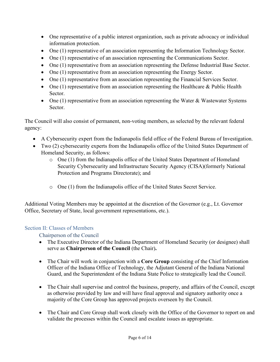- One representative of a public interest organization, such as private advocacy or individual information protection.
- One (1) representative of an association representing the Information Technology Sector.
- One (1) representative of an association representing the Communications Sector.
- One (1) representative from an association representing the Defense Industrial Base Sector.
- One (1) representative from an association representing the Energy Sector.
- One (1) representative from an association representing the Financial Services Sector.
- One  $(1)$  representative from an association representing the Healthcare & Public Health Sector.
- One  $(1)$  representative from an association representing the Water & Wastewater Systems Sector.

The Council will also consist of permanent, non-voting members, as selected by the relevant federal agency:

- A Cybersecurity expert from the Indianapolis field office of the Federal Bureau of Investigation.
- Two (2) cybersecurity experts from the Indianapolis office of the United States Department of Homeland Security, as follows:
	- $\circ$  One (1) from the Indianapolis office of the United States Department of Homeland Security Cybersecurity and Infrastructure Security Agency (CISA)(formerly National Protection and Programs Directorate); and
	- o One (1) from the Indianapolis office of the United States Secret Service.

Additional Voting Members may be appointed at the discretion of the Governor (e.g., Lt. Governor Office, Secretary of State, local government representations, etc.).

# <span id="page-5-1"></span><span id="page-5-0"></span>Section II: Classes of Members

Chairperson of the Council

- The Executive Director of the Indiana Department of Homeland Security (or designee) shall serve as **Chairperson of the Council** (the Chair)**.**
- The Chair will work in conjunction with a **Core Group** consisting of the Chief Information Officer of the Indiana Office of Technology, the Adjutant General of the Indiana National Guard, and the Superintendent of the Indiana State Police to strategically lead the Council.
- The Chair shall supervise and control the business, property, and affairs of the Council, except as otherwise provided by law and will have final approval and signatory authority once a majority of the Core Group has approved projects overseen by the Council.
- The Chair and Core Group shall work closely with the Office of the Governor to report on and validate the processes within the Council and escalate issues as appropriate.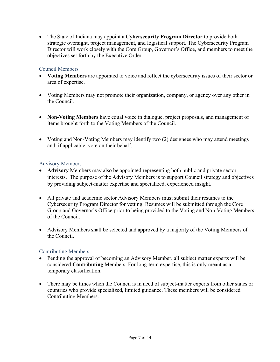• The State of Indiana may appoint a **Cybersecurity Program Director** to provide both strategic oversight, project management, and logistical support. The Cybersecurity Program Director will work closely with the Core Group, Governor's Office, and members to meet the objectives set forth by the Executive Order.

#### <span id="page-6-0"></span>Council Members

- **Voting Members** are appointed to voice and reflect the cybersecurity issues of their sector or area of expertise.
- Voting Members may not promote their organization, company, or agency over any other in the Council.
- **Non-Voting Members** have equal voice in dialogue, project proposals, and management of items brought forth to the Voting Members of the Council.
- Voting and Non-Voting Members may identify two (2) designees who may attend meetings and, if applicable, vote on their behalf.

# <span id="page-6-1"></span>Advisory Members

- **Advisory** Members may also be appointed representing both public and private sector interests. The purpose of the Advisory Members is to support Council strategy and objectives by providing subject-matter expertise and specialized, experienced insight.
- All private and academic sector Advisory Members must submit their resumes to the Cybersecurity Program Director for vetting. Resumes will be submitted through the Core Group and Governor's Office prior to being provided to the Voting and Non-Voting Members of the Council.
- Advisory Members shall be selected and approved by a majority of the Voting Members of the Council.

#### <span id="page-6-2"></span>Contributing Members

- Pending the approval of becoming an Advisory Member, all subject matter experts will be considered **Contributing** Members. For long-term expertise, this is only meant as a temporary classification.
- There may be times when the Council is in need of subject-matter experts from other states or countries who provide specialized, limited guidance. These members will be considered Contributing Members.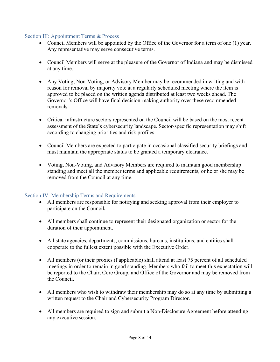#### <span id="page-7-0"></span>Section III: Appointment Terms & Process

- Council Members will be appointed by the Office of the Governor for a term of one (1) year. Any representative may serve consecutive terms.
- Council Members will serve at the pleasure of the Governor of Indiana and may be dismissed at any time.
- Any Voting, Non-Voting, or Advisory Member may be recommended in writing and with reason for removal by majority vote at a regularly scheduled meeting where the item is approved to be placed on the written agenda distributed at least two weeks ahead. The Governor's Office will have final decision-making authority over these recommended removals.
- Critical infrastructure sectors represented on the Council will be based on the most recent assessment of the State's cybersecurity landscape. Sector-specific representation may shift according to changing priorities and risk profiles.
- Council Members are expected to participate in occasional classified security briefings and must maintain the appropriate status to be granted a temporary clearance.
- Voting, Non-Voting, and Advisory Members are required to maintain good membership standing and meet all the member terms and applicable requirements, or he or she may be removed from the Council at any time.

#### <span id="page-7-1"></span>Section IV: Membership Terms and Requirements

- All members are responsible for notifying and seeking approval from their employer to participate on the Council**.**
- All members shall continue to represent their designated organization or sector for the duration of their appointment.
- All state agencies, departments, commissions, bureaus, institutions, and entities shall cooperate to the fullest extent possible with the Executive Order.
- All members (or their proxies if applicable) shall attend at least 75 percent of all scheduled meetings in order to remain in good standing. Members who fail to meet this expectation will be reported to the Chair, Core Group, and Office of the Governor and may be removed from the Council.
- All members who wish to withdraw their membership may do so at any time by submitting a written request to the Chair and Cybersecurity Program Director.
- All members are required to sign and submit a Non-Disclosure Agreement before attending any executive session.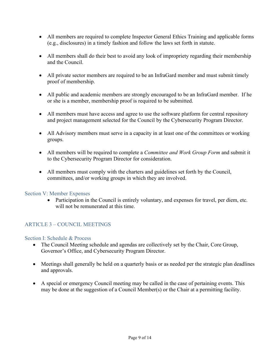- All members are required to complete Inspector General Ethics Training and applicable forms (e.g., disclosures) in a timely fashion and follow the laws set forth in statute.
- All members shall do their best to avoid any look of impropriety regarding their membership and the Council.
- All private sector members are required to be an InfraGard member and must submit timely proof of membership.
- All public and academic members are strongly encouraged to be an InfraGard member. If he or she is a member, membership proof is required to be submitted.
- All members must have access and agree to use the software platform for central repository and project management selected for the Council by the Cybersecurity Program Director.
- All Advisory members must serve in a capacity in at least one of the committees or working groups.
- All members will be required to complete a *Committee and Work Group Form* and submit it to the Cybersecurity Program Director for consideration.
- All members must comply with the charters and guidelines set forth by the Council, committees, and/or working groups in which they are involved.

#### <span id="page-8-0"></span>Section V: Member Expenses

• Participation in the Council is entirely voluntary, and expenses for travel, per diem, etc. will not be remunerated at this time.

#### <span id="page-8-1"></span>ARTICLE 3 – COUNCIL MEETINGS

#### <span id="page-8-2"></span>Section I: Schedule & Process

- The Council Meeting schedule and agendas are collectively set by the Chair, Core Group, Governor's Office, and Cybersecurity Program Director.
- Meetings shall generally be held on a quarterly basis or as needed per the strategic plan deadlines and approvals.
- A special or emergency Council meeting may be called in the case of pertaining events. This may be done at the suggestion of a Council Member(s) or the Chair at a permitting facility.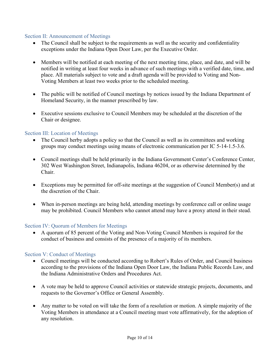#### <span id="page-9-0"></span>Section II: Announcement of Meetings

- The Council shall be subject to the requirements as well as the security and confidentiality exceptions under the Indiana Open Door Law, per the Executive Order.
- Members will be notified at each meeting of the next meeting time, place, and date, and will be notified in writing at least four weeks in advance of such meetings with a verified date, time, and place. All materials subject to vote and a draft agenda will be provided to Voting and Non-Voting Members at least two weeks prior to the scheduled meeting.
- The public will be notified of Council meetings by notices issued by the Indiana Department of Homeland Security, in the manner prescribed by law.
- Executive sessions exclusive to Council Members may be scheduled at the discretion of the Chair or designee.

#### <span id="page-9-1"></span>Section III: Location of Meetings

- The Council herby adopts a policy so that the Council as well as its committees and working groups may conduct meetings using means of electronic communication per IC 5-14-1.5-3.6.
- Council meetings shall be held primarily in the Indiana Government Center's Conference Center, 302 West Washington Street, Indianapolis, Indiana 46204, or as otherwise determined by the Chair.
- Exceptions may be permitted for off-site meetings at the suggestion of Council Member(s) and at the discretion of the Chair.
- When in-person meetings are being held, attending meetings by conference call or online usage may be prohibited. Council Members who cannot attend may have a proxy attend in their stead.

#### <span id="page-9-2"></span>Section IV: Quorum of Members for Meetings

• A quorum of 85 percent of the Voting and Non-Voting Council Members is required for the conduct of business and consists of the presence of a majority of its members.

#### <span id="page-9-3"></span>Section V: Conduct of Meetings

- Council meetings will be conducted according to Robert's Rules of Order, and Council business according to the provisions of the Indiana Open Door Law, the Indiana Public Records Law, and the Indiana Administrative Orders and Procedures Act.
- A vote may be held to approve Council activities or statewide strategic projects, documents, and requests to the Governor's Office or General Assembly.
- Any matter to be voted on will take the form of a resolution or motion. A simple majority of the Voting Members in attendance at a Council meeting must vote affirmatively, for the adoption of any resolution.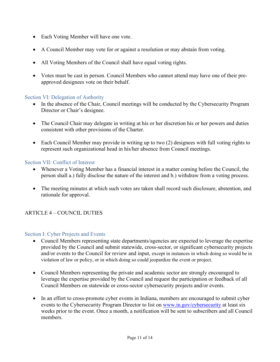- Each Voting Member will have one vote.
- A Council Member may vote for or against a resolution or may abstain from voting.
- All Voting Members of the Council shall have equal voting rights.
- Votes must be cast in person. Council Members who cannot attend may have one of their preapproved designees vote on their behalf.

#### <span id="page-10-0"></span>Section VI: Delegation of Authority

- In the absence of the Chair, Council meetings will be conducted by the Cybersecurity Program Director or Chair's designee.
- The Council Chair may delegate in writing at his or her discretion his or her powers and duties consistent with other provisions of the Charter.
- Each Council Member may provide in writing up to two (2) designees with full voting rights to represent such organizational head in his/her absence from Council meetings.

#### <span id="page-10-1"></span>Section VII: Conflict of Interest

- Whenever a Voting Member has a financial interest in a matter coming before the Council, the person shall a.) fully disclose the nature of the interest and b.) withdraw from a voting process.
- The meeting minutes at which such votes are taken shall record such disclosure, abstention, and rationale for approval.

# ARTICLE 4 – COUNCIL DUTIES

#### <span id="page-10-2"></span>Section I: Cyber Projects and Events

- Council Members representing state departments/agencies are expected to leverage the expertise provided by the Council and submit statewide, cross-sector, or significant cybersecurity projects and/or events to the Council for review and input, except in instances in which doing so would be in violation of law or policy, or in which doing so could jeopardize the event or project.
- Council Members representing the private and academic sector are strongly encouraged to leverage the expertise provided by the Council and request the participation or feedback of all Council Members on statewide or cross-sector cybersecurity projects and/or events.
- In an effort to cross-promote cyber events in Indiana, members are encouraged to submit cyber events to the Cybersecurity Program Director to list on [www.in.gov/cybersecurity](http://www.in.gov/cybersecurity) at least six weeks prior to the event. Once a month, a notification will be sent to subscribers and all Council members.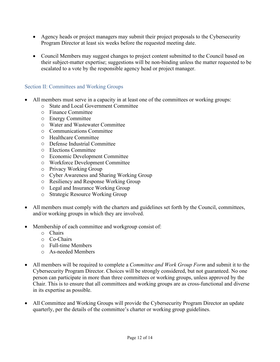- Agency heads or project managers may submit their project proposals to the Cybersecurity Program Director at least six weeks before the requested meeting date.
- Council Members may suggest changes to project content submitted to the Council based on their subject-matter expertise; suggestions will be non-binding unless the matter requested to be escalated to a vote by the responsible agency head or project manager.

# <span id="page-11-0"></span>Section II: Committees and Working Groups

- All members must serve in a capacity in at least one of the committees or working groups:
	- o State and Local Government Committee
	- o Finance Committee
	- o Energy Committee
	- o Water and Wastewater Committee
	- o Communications Committee
	- o Healthcare Committee
	- o Defense Industrial Committee
	- o Elections Committee
	- o Economic Development Committee
	- o Workforce Development Committee
	- o Privacy Working Group
	- o Cyber Awareness and Sharing Working Group
	- o Resiliency and Response Working Group
	- o Legal and Insurance Working Group
	- o Strategic Resource Working Group
- All members must comply with the charters and guidelines set forth by the Council, committees, and/or working groups in which they are involved.
- Membership of each committee and workgroup consist of:
	- o Chairs
	- o Co-Chairs
	- o Full-time Members
	- o As-needed Members
- All members will be required to complete a *Committee and Work Group Form* and submit it to the Cybersecurity Program Director. Choices will be strongly considered, but not guaranteed. No one person can participate in more than three committees or working groups, unless approved by the Chair. This is to ensure that all committees and working groups are as cross-functional and diverse in its expertise as possible.
- All Committee and Working Groups will provide the Cybersecurity Program Director an update quarterly, per the details of the committee's charter or working group guidelines.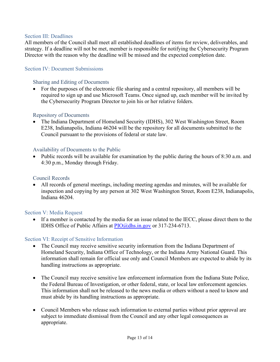#### <span id="page-12-0"></span>Section III: Deadlines

All members of the Council shall meet all established deadlines of items for review, deliverables, and strategy. If a deadline will not be met, member is responsible for notifying the Cybersecurity Program Director with the reason why the deadline will be missed and the expected completion date.

#### <span id="page-12-1"></span>Section IV: Document Submissions

#### <span id="page-12-2"></span>Sharing and Editing of Documents

• For the purposes of the electronic file sharing and a central repository, all members will be required to sign up and use Microsoft Teams. Once signed up, each member will be invited by the Cybersecurity Program Director to join his or her relative folders.

#### <span id="page-12-3"></span>Repository of Documents

• The Indiana Department of Homeland Security (IDHS), 302 West Washington Street, Room E238, Indianapolis, Indiana 46204 will be the repository for all documents submitted to the Council pursuant to the provisions of federal or state law.

#### <span id="page-12-4"></span>Availability of Documents to the Public

• Public records will be available for examination by the public during the hours of 8:30 a.m. and 4:30 p.m., Monday through Friday.

#### <span id="page-12-5"></span>Council Records

• All records of general meetings, including meeting agendas and minutes, will be available for inspection and copying by any person at 302 West Washington Street, Room E238, Indianapolis, Indiana 46204.

#### <span id="page-12-6"></span>Section V: Media Request

• If a member is contacted by the media for an issue related to the IECC, please direct them to the IDHS Office of Public Affairs at [PIO@dhs.in.gov](mailto:PIO@dhs.in.gov) or 317-234-6713.

#### <span id="page-12-7"></span>Section VI: Receipt of Sensitive Information

- The Council may receive sensitive security information from the Indiana Department of Homeland Security, Indiana Office of Technology, or the Indiana Army National Guard. This information shall remain for official use only and Council Members are expected to abide by its handling instructions as appropriate.
- The Council may receive sensitive law enforcement information from the Indiana State Police, the Federal Bureau of Investigation, or other federal, state, or local law enforcement agencies. This information shall not be released to the news media or others without a need to know and must abide by its handling instructions as appropriate.
- Council Members who release such information to external parties without prior approval are subject to immediate dismissal from the Council and any other legal consequences as appropriate.